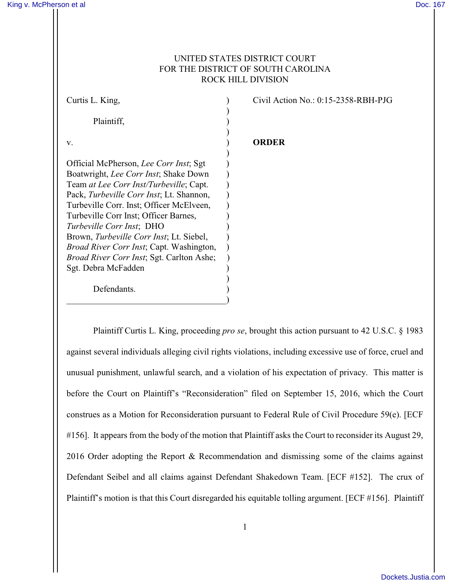## UNITED STATES DISTRICT COURT FOR THE DISTRICT OF SOUTH CAROLINA ROCK HILL DIVISION

| Curtis L. King,                                   |  |
|---------------------------------------------------|--|
|                                                   |  |
| Plaintiff,                                        |  |
|                                                   |  |
| v.                                                |  |
|                                                   |  |
| Official McPherson, Lee Corr Inst; Sgt            |  |
| Boatwright, Lee Corr Inst; Shake Down             |  |
| Team at Lee Corr Inst/Turbeville; Capt.           |  |
| Pack, Turbeville Corr Inst; Lt. Shannon,          |  |
| Turbeville Corr. Inst; Officer McElveen,          |  |
| Turbeville Corr Inst; Officer Barnes,             |  |
| Turbeville Corr Inst; DHO                         |  |
| Brown, Turbeville Corr Inst; Lt. Siebel,          |  |
| <i>Broad River Corr Inst</i> ; Capt. Washington,  |  |
| <i>Broad River Corr Inst</i> ; Sgt. Carlton Ashe; |  |
| Sgt. Debra McFadden                               |  |
|                                                   |  |
| Defendants.                                       |  |

 $\hspace{.5em}$   $\hspace{.5em}$   $\hspace{.5em}$   $\hspace{.5em}$   $\hspace{.5em}$   $\hspace{.5em}$   $\hspace{.5em}$   $\hspace{.5em}$   $\hspace{.5em}$   $\hspace{.5em}$   $\hspace{.5em}$   $\hspace{.5em}$   $\hspace{.5em}$   $\hspace{.5em}$   $\hspace{.5em}$   $\hspace{.5em}$   $\hspace{.5em}$   $\hspace{.5em}$   $\hspace{.5em}$   $\hspace{.5em}$ 

Civil Action No.:  $0:15-2358$ -RBH-PJG

## v. ) **ORDER**

Plaintiff Curtis L. King, proceeding *pro se*, brought this action pursuant to 42 U.S.C. § 1983 against several individuals alleging civil rights violations, including excessive use of force, cruel and unusual punishment, unlawful search, and a violation of his expectation of privacy. This matter is before the Court on Plaintiff's "Reconsideration" filed on September 15, 2016, which the Court construes as a Motion for Reconsideration pursuant to Federal Rule of Civil Procedure 59(e). [ECF #156]. It appears from the body of the motion that Plaintiff asks the Court to reconsider its August 29, 2016 Order adopting the Report & Recommendation and dismissing some of the claims against Defendant Seibel and all claims against Defendant Shakedown Team. [ECF #152]. The crux of Plaintiff's motion is that this Court disregarded his equitable tolling argument. [ECF #156]. Plaintiff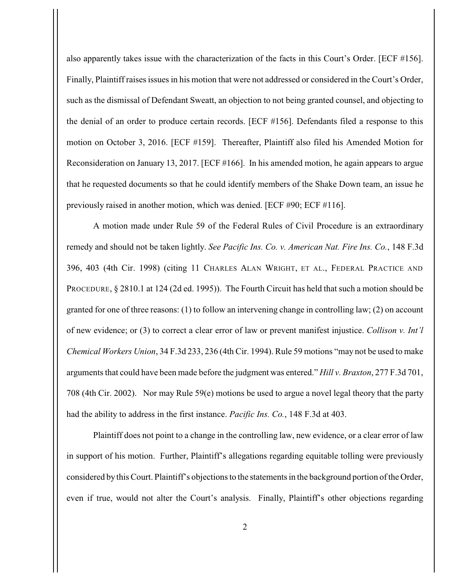also apparently takes issue with the characterization of the facts in this Court's Order. [ECF #156]. Finally, Plaintiff raises issues in his motion that were not addressed or considered in the Court's Order, such as the dismissal of Defendant Sweatt, an objection to not being granted counsel, and objecting to the denial of an order to produce certain records. [ECF #156]. Defendants filed a response to this motion on October 3, 2016. [ECF #159]. Thereafter, Plaintiff also filed his Amended Motion for Reconsideration on January 13, 2017. [ECF #166]. In his amended motion, he again appears to argue that he requested documents so that he could identify members of the Shake Down team, an issue he previously raised in another motion, which was denied. [ECF #90; ECF #116].

A motion made under Rule 59 of the Federal Rules of Civil Procedure is an extraordinary remedy and should not be taken lightly. *See Pacific Ins. Co. v. American Nat. Fire Ins. Co.*, 148 F.3d 396, 403 (4th Cir. 1998) (citing 11 CHARLES ALAN WRIGHT, ET AL., FEDERAL PRACTICE AND PROCEDURE, § 2810.1 at 124 (2d ed. 1995)). The Fourth Circuit has held that such a motion should be granted for one of three reasons: (1) to follow an intervening change in controlling law; (2) on account of new evidence; or (3) to correct a clear error of law or prevent manifest injustice. *Collison v. Int'l Chemical Workers Union*, 34 F.3d 233, 236 (4th Cir. 1994). Rule 59 motions "may not be used to make arguments that could have been made before the judgment was entered." *Hill v. Braxton*, 277 F.3d 701, 708 (4th Cir. 2002). Nor may Rule 59(e) motions be used to argue a novel legal theory that the party had the ability to address in the first instance. *Pacific Ins. Co.*, 148 F.3d at 403.

Plaintiff does not point to a change in the controlling law, new evidence, or a clear error of law in support of his motion. Further, Plaintiff's allegations regarding equitable tolling were previously considered by this Court. Plaintiff's objections to the statements in the background portion of the Order, even if true, would not alter the Court's analysis. Finally, Plaintiff's other objections regarding